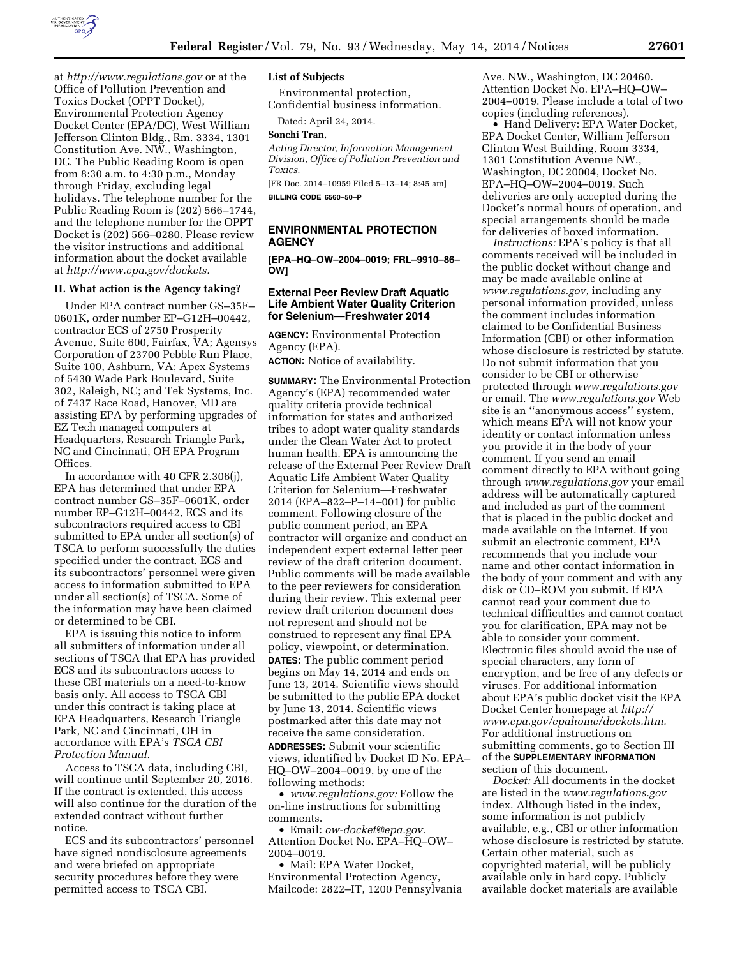

at *<http://www.regulations.gov>* or at the Office of Pollution Prevention and Toxics Docket (OPPT Docket), Environmental Protection Agency Docket Center (EPA/DC), West William Jefferson Clinton Bldg., Rm. 3334, 1301 Constitution Ave. NW., Washington, DC. The Public Reading Room is open from 8:30 a.m. to 4:30 p.m., Monday through Friday, excluding legal holidays. The telephone number for the Public Reading Room is (202) 566–1744, and the telephone number for the OPPT Docket is (202) 566–0280. Please review the visitor instructions and additional information about the docket available at *[http://www.epa.gov/dockets.](http://www.epa.gov/dockets)* 

#### **II. What action is the Agency taking?**

Under EPA contract number GS–35F– 0601K, order number EP–G12H–00442, contractor ECS of 2750 Prosperity Avenue, Suite 600, Fairfax, VA; Agensys Corporation of 23700 Pebble Run Place, Suite 100, Ashburn, VA; Apex Systems of 5430 Wade Park Boulevard, Suite 302, Raleigh, NC; and Tek Systems, Inc. of 7437 Race Road, Hanover, MD are assisting EPA by performing upgrades of EZ Tech managed computers at Headquarters, Research Triangle Park, NC and Cincinnati, OH EPA Program Offices.

In accordance with 40 CFR 2.306(j), EPA has determined that under EPA contract number GS–35F–0601K, order number EP–G12H–00442, ECS and its subcontractors required access to CBI submitted to EPA under all section(s) of TSCA to perform successfully the duties specified under the contract. ECS and its subcontractors' personnel were given access to information submitted to EPA under all section(s) of TSCA. Some of the information may have been claimed or determined to be CBI.

EPA is issuing this notice to inform all submitters of information under all sections of TSCA that EPA has provided ECS and its subcontractors access to these CBI materials on a need-to-know basis only. All access to TSCA CBI under this contract is taking place at EPA Headquarters, Research Triangle Park, NC and Cincinnati, OH in accordance with EPA's *TSCA CBI Protection Manual.* 

Access to TSCA data, including CBI, will continue until September 20, 2016. If the contract is extended, this access will also continue for the duration of the extended contract without further notice.

ECS and its subcontractors' personnel have signed nondisclosure agreements and were briefed on appropriate security procedures before they were permitted access to TSCA CBI.

### **List of Subjects**

Environmental protection, Confidential business information.

Dated: April 24, 2014.

### **Sonchi Tran,**

*Acting Director, Information Management Division, Office of Pollution Prevention and Toxics.* 

[FR Doc. 2014–10959 Filed 5–13–14; 8:45 am] **BILLING CODE 6560–50–P** 

## **ENVIRONMENTAL PROTECTION AGENCY**

**[EPA–HQ–OW–2004–0019; FRL–9910–86– OW]** 

#### **External Peer Review Draft Aquatic Life Ambient Water Quality Criterion for Selenium—Freshwater 2014**

**AGENCY:** Environmental Protection Agency (EPA).

**ACTION:** Notice of availability.

**SUMMARY:** The Environmental Protection Agency's (EPA) recommended water quality criteria provide technical information for states and authorized tribes to adopt water quality standards under the Clean Water Act to protect human health. EPA is announcing the release of the External Peer Review Draft Aquatic Life Ambient Water Quality Criterion for Selenium—Freshwater 2014 (EPA–822–P–14–001) for public comment. Following closure of the public comment period, an EPA contractor will organize and conduct an independent expert external letter peer review of the draft criterion document. Public comments will be made available to the peer reviewers for consideration during their review. This external peer review draft criterion document does not represent and should not be construed to represent any final EPA policy, viewpoint, or determination. **DATES:** The public comment period begins on May 14, 2014 and ends on June 13, 2014. Scientific views should be submitted to the public EPA docket by June 13, 2014. Scientific views postmarked after this date may not receive the same consideration.

**ADDRESSES:** Submit your scientific views, identified by Docket ID No. EPA– HQ–OW–2004–0019, by one of the following methods:

• *[www.regulations.gov:](http://www.regulations.gov)* Follow the on-line instructions for submitting comments.

• Email: *[ow-docket@epa.gov.](mailto:ow-docket@epa.gov)*  Attention Docket No. EPA–HQ–OW– 2004–0019.

• Mail: EPA Water Docket, Environmental Protection Agency, Mailcode: 2822–IT, 1200 Pennsylvania Ave. NW., Washington, DC 20460. Attention Docket No. EPA–HQ–OW– 2004–0019. Please include a total of two copies (including references).

• Hand Delivery: EPA Water Docket, EPA Docket Center, William Jefferson Clinton West Building, Room 3334, 1301 Constitution Avenue NW., Washington, DC 20004, Docket No. EPA–HQ–OW–2004–0019. Such deliveries are only accepted during the Docket's normal hours of operation, and special arrangements should be made for deliveries of boxed information.

*Instructions:* EPA's policy is that all comments received will be included in the public docket without change and may be made available online at *[www.regulations.gov,](http://www.regulations.gov)* including any personal information provided, unless the comment includes information claimed to be Confidential Business Information (CBI) or other information whose disclosure is restricted by statute. Do not submit information that you consider to be CBI or otherwise protected through *[www.regulations.gov](http://www.regulations.gov)*  or email. The *[www.regulations.gov](http://www.regulations.gov)* Web site is an ''anonymous access'' system, which means EPA will not know your identity or contact information unless you provide it in the body of your comment. If you send an email comment directly to EPA without going through *[www.regulations.gov](http://www.regulations.gov)* your email address will be automatically captured and included as part of the comment that is placed in the public docket and made available on the Internet. If you submit an electronic comment, EPA recommends that you include your name and other contact information in the body of your comment and with any disk or CD–ROM you submit. If EPA cannot read your comment due to technical difficulties and cannot contact you for clarification, EPA may not be able to consider your comment. Electronic files should avoid the use of special characters, any form of encryption, and be free of any defects or viruses. For additional information about EPA's public docket visit the EPA Docket Center homepage at *[http://](http://www.epa.gov/epahome/dockets.htm) [www.epa.gov/epahome/dockets.htm.](http://www.epa.gov/epahome/dockets.htm)*  For additional instructions on submitting comments, go to Section III of the **SUPPLEMENTARY INFORMATION** section of this document.

*Docket:* All documents in the docket are listed in the *[www.regulations.gov](http://www.regulations.gov)*  index. Although listed in the index, some information is not publicly available, e.g., CBI or other information whose disclosure is restricted by statute. Certain other material, such as copyrighted material, will be publicly available only in hard copy. Publicly available docket materials are available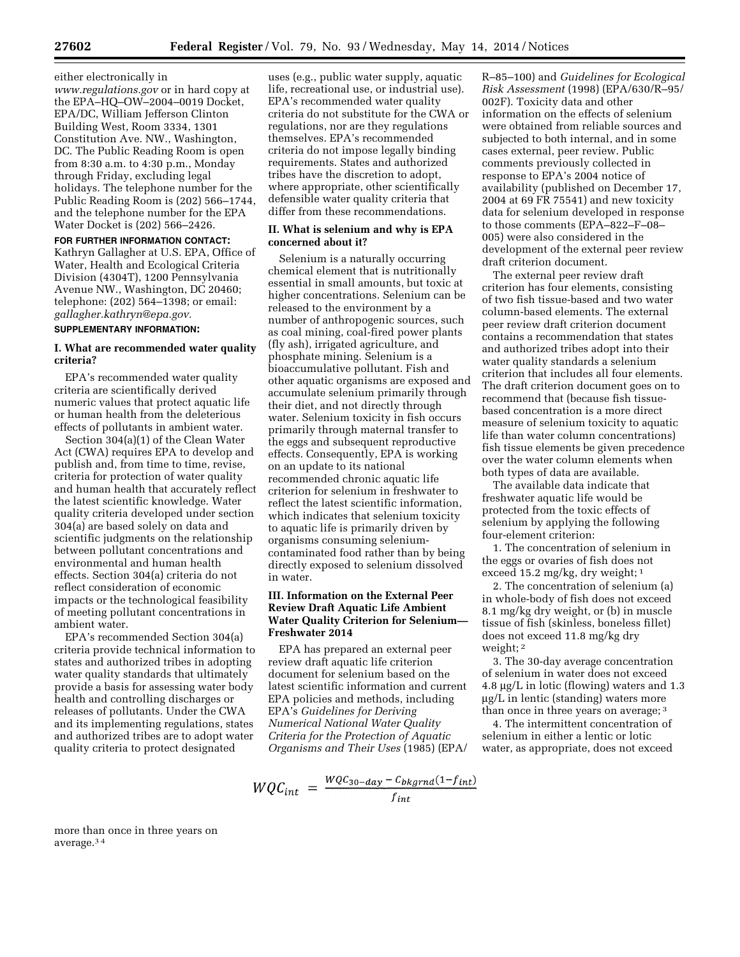## either electronically in

*[www.regulations.gov](http://www.regulations.gov)* or in hard copy at the EPA–HQ–OW–2004–0019 Docket, EPA/DC, William Jefferson Clinton Building West, Room 3334, 1301 Constitution Ave. NW., Washington, DC. The Public Reading Room is open from 8:30 a.m. to 4:30 p.m., Monday through Friday, excluding legal holidays. The telephone number for the Public Reading Room is (202) 566–1744, and the telephone number for the EPA Water Docket is (202) 566–2426.

**FOR FURTHER INFORMATION CONTACT:**  Kathryn Gallagher at U.S. EPA, Office of Water, Health and Ecological Criteria Division (4304T), 1200 Pennsylvania Avenue NW., Washington, DC 20460; telephone: (202) 564–1398; or email: *[gallagher.kathryn@epa.gov.](mailto:gallagher.kathryn@epa.gov)* 

#### **SUPPLEMENTARY INFORMATION:**

# **I. What are recommended water quality criteria?**

EPA's recommended water quality criteria are scientifically derived numeric values that protect aquatic life or human health from the deleterious effects of pollutants in ambient water.

Section 304(a)(1) of the Clean Water Act (CWA) requires EPA to develop and publish and, from time to time, revise, criteria for protection of water quality and human health that accurately reflect the latest scientific knowledge. Water quality criteria developed under section 304(a) are based solely on data and scientific judgments on the relationship between pollutant concentrations and environmental and human health effects. Section 304(a) criteria do not reflect consideration of economic impacts or the technological feasibility of meeting pollutant concentrations in ambient water.

EPA's recommended Section 304(a) criteria provide technical information to states and authorized tribes in adopting water quality standards that ultimately provide a basis for assessing water body health and controlling discharges or releases of pollutants. Under the CWA and its implementing regulations, states and authorized tribes are to adopt water quality criteria to protect designated

uses (e.g., public water supply, aquatic life, recreational use, or industrial use). EPA's recommended water quality criteria do not substitute for the CWA or regulations, nor are they regulations themselves. EPA's recommended criteria do not impose legally binding requirements. States and authorized tribes have the discretion to adopt, where appropriate, other scientifically defensible water quality criteria that differ from these recommendations.

## **II. What is selenium and why is EPA concerned about it?**

Selenium is a naturally occurring chemical element that is nutritionally essential in small amounts, but toxic at higher concentrations. Selenium can be released to the environment by a number of anthropogenic sources, such as coal mining, coal-fired power plants (fly ash), irrigated agriculture, and phosphate mining. Selenium is a bioaccumulative pollutant. Fish and other aquatic organisms are exposed and accumulate selenium primarily through their diet, and not directly through water. Selenium toxicity in fish occurs primarily through maternal transfer to the eggs and subsequent reproductive effects. Consequently, EPA is working on an update to its national recommended chronic aquatic life criterion for selenium in freshwater to reflect the latest scientific information, which indicates that selenium toxicity to aquatic life is primarily driven by organisms consuming seleniumcontaminated food rather than by being directly exposed to selenium dissolved in water.

# **III. Information on the External Peer Review Draft Aquatic Life Ambient Water Quality Criterion for Selenium— Freshwater 2014**

EPA has prepared an external peer review draft aquatic life criterion document for selenium based on the latest scientific information and current EPA policies and methods, including EPA's *Guidelines for Deriving Numerical National Water Quality Criteria for the Protection of Aquatic Organisms and Their Uses* (1985) (EPA/

$$
WQC_{int} = \frac{WQC_{30-day} - C_{bkgrnd}(1 - f_{int})}{f_{int}}
$$

R–85–100) and *Guidelines for Ecological Risk Assessment* (1998) (EPA/630/R–95/ 002F). Toxicity data and other information on the effects of selenium were obtained from reliable sources and subjected to both internal, and in some cases external, peer review. Public comments previously collected in response to EPA's 2004 notice of availability (published on December 17, 2004 at 69 FR 75541) and new toxicity data for selenium developed in response to those comments (EPA–822–F–08– 005) were also considered in the development of the external peer review draft criterion document.

The external peer review draft criterion has four elements, consisting of two fish tissue-based and two water column-based elements. The external peer review draft criterion document contains a recommendation that states and authorized tribes adopt into their water quality standards a selenium criterion that includes all four elements. The draft criterion document goes on to recommend that (because fish tissuebased concentration is a more direct measure of selenium toxicity to aquatic life than water column concentrations) fish tissue elements be given precedence over the water column elements when both types of data are available.

The available data indicate that freshwater aquatic life would be protected from the toxic effects of selenium by applying the following four-element criterion:

1. The concentration of selenium in the eggs or ovaries of fish does not exceed 15.2 mg/kg, dry weight; 1

2. The concentration of selenium (a) in whole-body of fish does not exceed 8.1 mg/kg dry weight, or (b) in muscle tissue of fish (skinless, boneless fillet) does not exceed 11.8 mg/kg dry weight; 2

3. The 30-day average concentration of selenium in water does not exceed 4.8 mg/L in lotic (flowing) waters and 1.3  $\mu$ g/L in lentic (standing) waters more than once in three years on average; 3

4. The intermittent concentration of selenium in either a lentic or lotic water, as appropriate, does not exceed

more than once in three years on average.3 4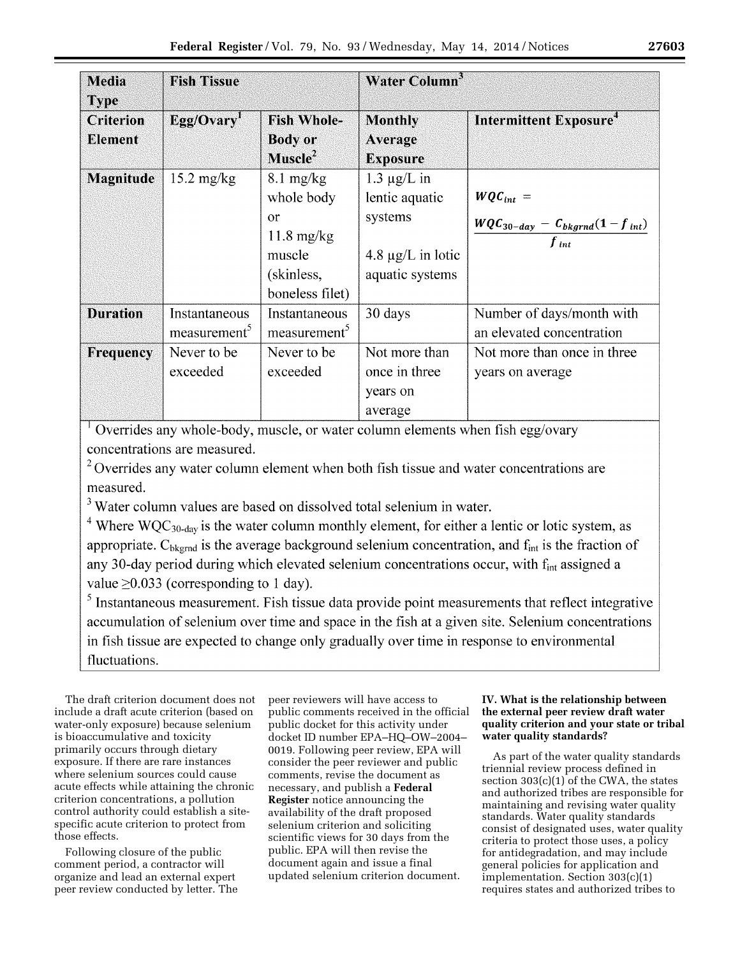| <b>Media</b><br><b>Type</b>        | <b>Fish Tissue</b>           |                                                                                                            | Water Column <sup>3</sup>                                                                  |                                                                        |
|------------------------------------|------------------------------|------------------------------------------------------------------------------------------------------------|--------------------------------------------------------------------------------------------|------------------------------------------------------------------------|
| <b>Criterion</b><br><b>Element</b> | Egg/Ovary                    | <b>Fish Whole-</b><br><b>Body or</b><br>Muscle <sup>2</sup>                                                | <b>Monthly</b><br>Average<br><b>Exposure</b>                                               | Intermittent Exposure <sup>4</sup>                                     |
| <b>Magnitude</b>                   | $15.2 \text{ mg/kg}$         | $8.1 \text{ mg/kg}$<br>whole body<br>or<br>$11.8 \text{ mg/kg}$<br>muscle<br>(skinless,<br>boneless filet) | $1.3 \mu g/L$ in<br>lentic aquatic<br>systems<br>4.8 $\mu$ g/L in lotic<br>aquatic systems | $WQC_{int} =$<br>$WQC_{30-day} - C_{bkgrnd}(1 - f_{int})$<br>$f_{int}$ |
| <b>Duration</b>                    | Instantaneous<br>measurement | Instantaneous<br>measurement <sup>5</sup>                                                                  | 30 days                                                                                    | Number of days/month with<br>an elevated concentration                 |
| <b>Frequency</b>                   | Never to be<br>exceeded      | Never to be<br>exceeded                                                                                    | Not more than<br>once in three<br>years on<br>average                                      | Not more than once in three<br>years on average                        |

<sup>1</sup> Overrides any whole-body, muscle, or water column elements when fish egg/ovary concentrations are measured.

<sup>2</sup> Overrides any water column element when both fish tissue and water concentrations are measured.

<sup>3</sup> Water column values are based on dissolved total selenium in water.

 $4$  Where WQC<sub>30-day</sub> is the water column monthly element, for either a lentic or lotic system, as appropriate.  $C_{\text{bkernd}}$  is the average background selenium concentration, and  $f_{\text{int}}$  is the fraction of any 30-day period during which elevated selenium concentrations occur, with f<sub>int</sub> assigned a value  $\geq$ 0.033 (corresponding to 1 day).

 $5$  Instantaneous measurement. Fish tissue data provide point measurements that reflect integrative accumulation of selenium over time and space in the fish at a given site. Selenium concentrations in fish tissue are expected to change only gradually over time in response to environmental fluctuations.

The draft criterion document does not include a draft acute criterion (based on water-only exposure) because selenium is bioaccumulative and toxicity primarily occurs through dietary exposure. If there are rare instances where selenium sources could cause acute effects while attaining the chronic criterion concentrations, a pollution control authority could establish a sitespecific acute criterion to protect from those effects.

Following closure of the public comment period, a contractor will organize and lead an external expert peer review conducted by letter. The

peer reviewers will have access to public comments received in the official public docket for this activity under docket ID number EPA–HQ–OW–2004– 0019. Following peer review, EPA will consider the peer reviewer and public comments, revise the document as necessary, and publish a **Federal Register** notice announcing the availability of the draft proposed selenium criterion and soliciting scientific views for 30 days from the public. EPA will then revise the document again and issue a final updated selenium criterion document.

# **IV. What is the relationship between the external peer review draft water quality criterion and your state or tribal water quality standards?**

As part of the water quality standards triennial review process defined in section 303(c)(1) of the CWA, the states and authorized tribes are responsible for maintaining and revising water quality standards. Water quality standards consist of designated uses, water quality criteria to protect those uses, a policy for antidegradation, and may include general policies for application and implementation. Section 303(c)(1) requires states and authorized tribes to